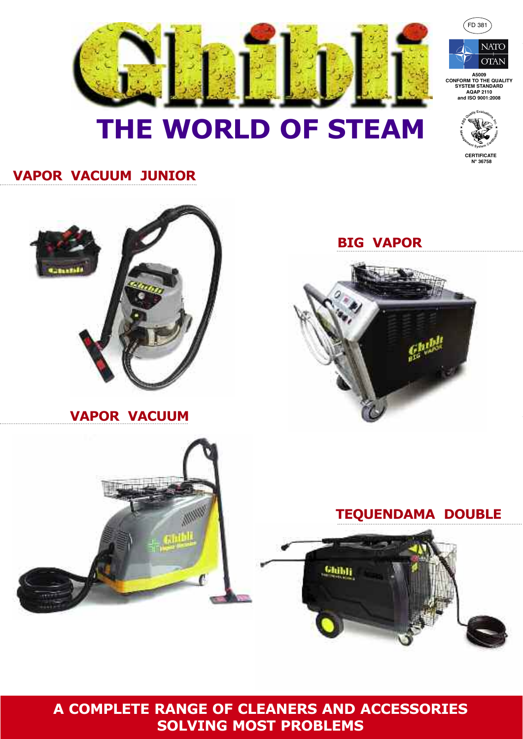

# THE WORLD OF STEAM



 $($ FD 381

**NATO OTAN** 

**CERTIFICATE** 

## **VAPOR VACUUM JUNIOR**



A COMPLETE RANGE OF CLEANERS AND ACCESSORIES **SOLVING MOST PROBLEMS** 

Glübli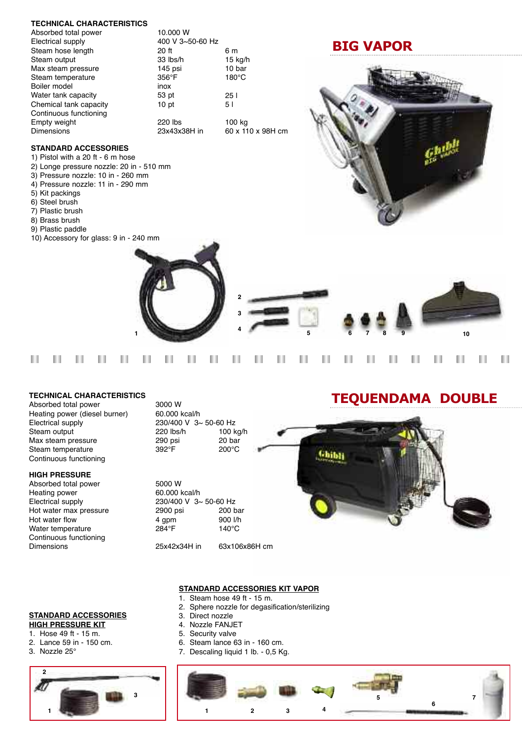#### **TECHNICAL CHARACTERISTICS**

| 10.000 W         |                   |
|------------------|-------------------|
| 400 V 3~50-60 Hz |                   |
| 20 ft            | 6 m               |
| 33 lbs/h         | 15 kg/h           |
| $145$ psi        | 10 bar            |
| $356^{\circ}$ F  | 180°C             |
| inox             |                   |
| 53 pt            | 251               |
| 10 <sub>pt</sub> | 5 I               |
|                  |                   |
| 220 lbs          | 100 kg            |
| 23x43x38H in     | 60 x 110 x 98H cm |
|                  |                   |

## **BIG VAPOR**



## **STANDARD ACCESSORIES**

- 1) Pistol with a 20 ft 6 m hose
- 2) Longe pressure nozzle: 20 in 510 mm
- 3) Pressure nozzle: 10 in 260 mm
- 4) Pressure nozzle: 11 in 290 mm
- 5) Kit packings
- 6) Steel brush
- 7) Plastic brush
- 8) Brass brush
- 9) Plastic paddle
- 10) Accessory for glass: 9 in 240 mm



#### Ш Ш Ш Ш Ш Ш Ш Ш Ш Ш Ш Ш Ш Ш Ш Ш Ш Ш П П Ш Ш

#### **TECHNICAL CHARACTERISTICS**

Absorbed total power 3000 W Heating power (diesel burner) 60.000 kcal/h Electrical supply 230/400 V 3~ 50-60 Hz<br>Steam output 220 lbs/h 100 kg/h Steam output Max steam pressure  $290$  psi 20 bar<br>Steam temperature  $392^{\circ}$ F 200°C Steam temperature Continuous functioning

#### **HIGH PRESSURE**

Heating power 60.000 kcal/h Hot water max pressure Water temperature Continuous functioning Dimensions 25x42x34H in 63x106x86H cm

Absorbed total power 5000 W Electrical supply  $230/400 \text{ V } 3 \sim 50-60 \text{ Hz}$ <br>Hot water max pressure  $2900 \text{ psi}$  200 bar Hot water flow  $\begin{array}{ccc} 4 \text{ gpm} & 900 \text{ l/h} \\ \text{Water temperature} & 284 \text{°F} & 140 \text{°C} \end{array}$ 

# TEQUENDAMA DOUBLE



#### **STANDARD ACCESSORIES HIGH PRESSURE KIT**

- 1. Hose 49 ft 15 m.
- 2. Lance 59 in 150 cm.
- 3. Nozzle 25°



## **STANDARD ACCESSORIES KIT VAPOR**

- 1. Steam hose 49 ft 15 m.
- 2. Sphere nozzle for degasification/sterilizing
- 3. Direct nozzle
- 4. Nozzle FANJET
- 5. Security valve
- 6. Steam lance 63 in 160 cm.
- 7. Descaling liquid 1 lb. 0,5 Kg.

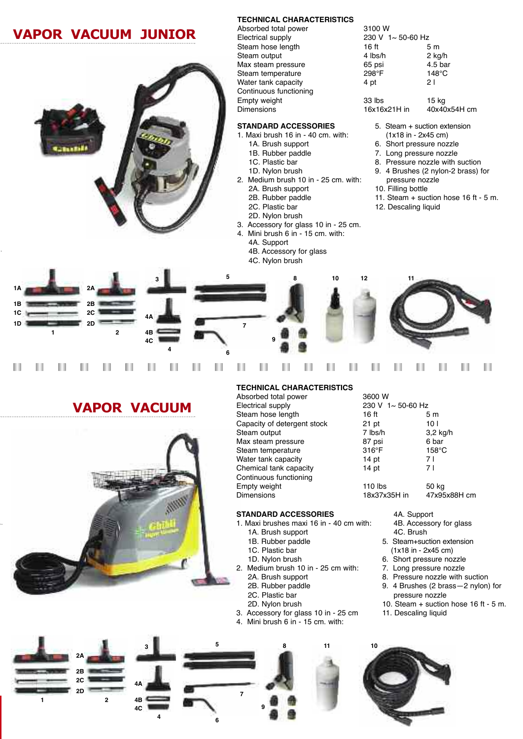## VAPOR VACUUM JUNIOR

## **TECHNICAL CHARACTERISTICS**

### **STANDARD ACCESSORIES**

- 1. Maxi brush 16 in 40 cm. with:
	- 1A. Brush support
	- 1B. Rubber paddle
	- 1C. Plastic bar 1D. Nylon brush
- 2. Medium brush 10 in 25 cm. with:
- 2A. Brush support
- 2B. Rubber paddle
- 2C. Plastic bar
- 
- 2D. Nylon brush
- 3. Accessory for glass 10 in 25 cm.
- 4. Mini brush 6 in 15 cm. with:
	- 4A. Support
	- 4B. Accessory for glass
	- 4C. Nylon brush

| Absorbed total power   | 3100 W                    |                    |  |
|------------------------|---------------------------|--------------------|--|
| Electrical supply      | 230 V $1 \sim 50 - 60$ Hz |                    |  |
| Steam hose length      | 16 ft                     | 5 m                |  |
| Steam output           | 4 lbs/h                   | $2$ kg/h           |  |
| Max steam pressure     | 65 psi                    | 4.5 <sub>bar</sub> |  |
| Steam temperature      | 298°F                     | $148^{\circ}$ C    |  |
| Water tank capacity    | 4 pt                      | 21                 |  |
| Continuous functioning |                           |                    |  |
| Empty weight           | 33 lbs                    | 15 kg              |  |
| <b>Dimensions</b>      | 16x16x21H in              | 40x40x54H cm       |  |

- 5. Steam + suction extension (1x18 in - 2x45 cm)
- 6. Short pressure nozzle
- 7. Long pressure nozzle
- 8. Pressure nozzle with suction
- 9. 4 Brushes (2 nylon-2 brass) for pressure nozzle
- 10. Filling bottle
- 11. Steam + suction hose 16 ft 5 m.
- 12. Descaling liquid



#### п Ш Ш Ш Ш ш Ш Ш ш Ш Ш ш Ш Ш П п ш Ш Ш

## VAPOR VACUUM



**3**

**4A 4B 4C**

**4**

**2A 2B 2C 2D 1 2**

Ш

Ш

Ш

## **TECHNICAL CHARACTERISTICS** Absorb<br>Electric

| Absorbed total power        | 3600 W                    |                 |  |
|-----------------------------|---------------------------|-----------------|--|
| Electrical supply           | 230 V $1 \sim 50 - 60$ Hz |                 |  |
| Steam hose length           | 16 ft                     | 5 m             |  |
| Capacity of detergent stock | $21$ pt                   | 10 I            |  |
| Steam output                | 7 lbs/h                   | $3,2$ kg/h      |  |
| Max steam pressure          | 87 psi                    | 6 bar           |  |
| Steam temperature           | $316^\circ F$             | $158^{\circ}$ C |  |
| Water tank capacity         | 14 <sub>pt</sub>          | 7 I             |  |
| Chemical tank capacity      | 14 <sub>pt</sub>          | 7 I             |  |
| Continuous functioning      |                           |                 |  |
| Empty weight                | $110$ lbs                 | 50 kg           |  |
| <b>Dimensions</b>           | 18x37x35H in              | 47x95x88H cm    |  |

- 1. Maxi brushes maxi 16 in 40 cm with:
	-
	-
	-
- 
- 



4A. Support

4C. Brush

4B. Accessory for glass

5. Steam+suction extension (1x18 in - 2x45 cm) 6. Short pressure nozzle 7. Long pressure nozzle

pressure nozzle

- Continuon<br>Empty **STANDARD ACCESSORIES** 1A. Brush support
	- 1B. Rubber paddle
	- 1C. Plastic bar
	- 1D. Nylon brush
	- 2. Medium brush 10 in 25 cm with:
		-

**7**

**9**

**6**

- 
- 2A. Brush support 2B. Rubber paddle 2C. Plastic bar 2D. Nylon brush 3. Accessory for glass 10 in - 25 cm 4. Mini brush 6 in - 15 cm. with: 8. Pressure nozzle with suction 9. 4 Brushes (2 brass—2 nylon) for 10. Steam + suction hose 16 ft - 5 m. 11. Descaling liquid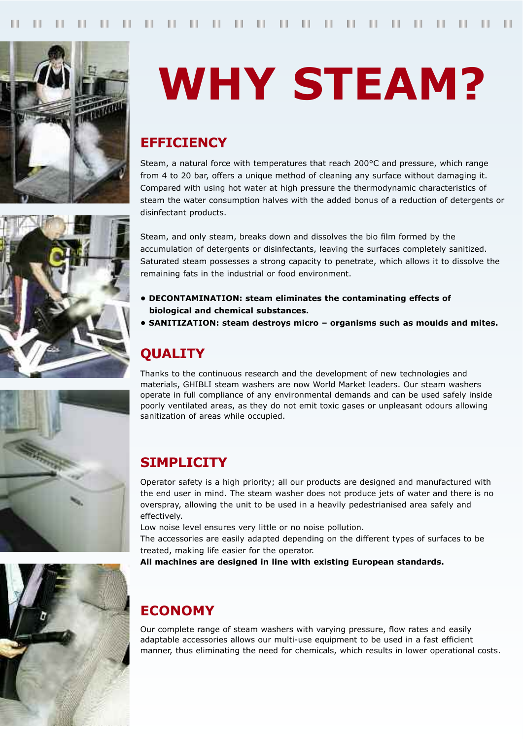

# **WHY STEAM?**

## **EFFICIENCY**

Steam, a natural force with temperatures that reach 200°C and pressure, which range from 4 to 20 bar, offers a unique method of cleaning any surface without damaging it. Compared with using hot water at high pressure the thermodynamic characteristics of steam the water consumption halves with the added bonus of a reduction of detergents or disinfectant products.

Steam, and only steam, breaks down and dissolves the bio film formed by the accumulation of detergents or disinfectants, leaving the surfaces completely sanitized. Saturated steam possesses a strong capacity to penetrate, which allows it to dissolve the remaining fats in the industrial or food environment.

- DECONTAMINATION: steam eliminates the contaminating effects of biological and chemical substances.
- SANITIZATION: steam destrovs micro organisms such as moulds and mites.

## **QUALITY**

Thanks to the continuous research and the development of new technologies and materials, GHIBLI steam washers are now World Market leaders. Our steam washers operate in full compliance of any environmental demands and can be used safely inside poorly ventilated areas, as they do not emit toxic gases or unpleasant odours allowing sanitization of areas while occupied.

## **SIMPLICITY**

Operator safety is a high priority; all our products are designed and manufactured with the end user in mind. The steam washer does not produce jets of water and there is no overspray, allowing the unit to be used in a heavily pedestrianised area safely and effectively.

Low noise level ensures very little or no noise pollution.

The accessories are easily adapted depending on the different types of surfaces to be treated, making life easier for the operator.

All machines are designed in line with existing European standards.

## **FCONOMY**

Our complete range of steam washers with varying pressure, flow rates and easily adaptable accessories allows our multi-use equipment to be used in a fast efficient manner, thus eliminating the need for chemicals, which results in lower operational costs.





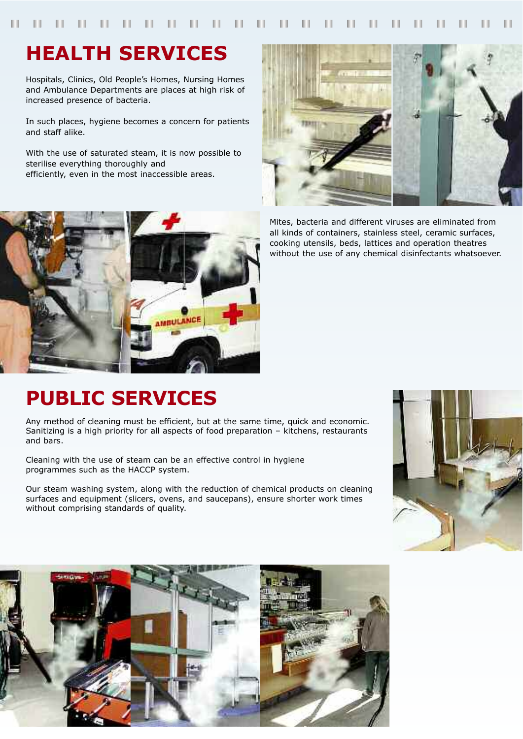# **HEALTH SERVICES**

Hospitals, Clinics, Old People's Homes, Nursing Homes and Ambulance Departments are places at high risk of increased presence of bacteria.

In such places, hygiene becomes a concern for patients and staff alike.

With the use of saturated steam, it is now possible to sterilise everything thoroughly and efficiently, even in the most inaccessible areas.



Mites, bacteria and different viruses are eliminated from all kinds of containers, stainless steel, ceramic surfaces, cooking utensils, beds, lattices and operation theatres without the use of any chemical disinfectants whatsoever.



# **PUBLIC SERVICES**

Any method of cleaning must be efficient, but at the same time, quick and economic. Sanitizing is a high priority for all aspects of food preparation - kitchens, restaurants and bars.

Cleaning with the use of steam can be an effective control in hygiene programmes such as the HACCP system.

Our steam washing system, along with the reduction of chemical products on cleaning surfaces and equipment (slicers, ovens, and saucepans), ensure shorter work times without comprising standards of quality.



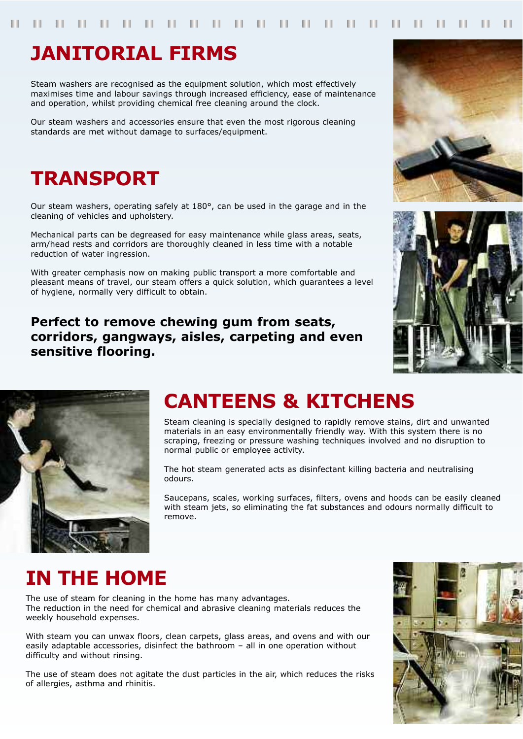# **JANITORIAL FIRMS**

Steam washers are recognised as the equipment solution, which most effectively maximises time and labour savings through increased efficiency, ease of maintenance and operation, whilst providing chemical free cleaning around the clock.

Our steam washers and accessories ensure that even the most rigorous cleaning standards are met without damage to surfaces/equipment.

# **TRANSPORT**

Our steam washers, operating safely at 180°, can be used in the garage and in the cleaning of vehicles and upholstery.

Mechanical parts can be degreased for easy maintenance while glass areas, seats, arm/head rests and corridors are thoroughly cleaned in less time with a notable reduction of water ingression.

With greater cemphasis now on making public transport a more comfortable and pleasant means of travel, our steam offers a quick solution, which guarantees a level of hygiene, normally very difficult to obtain.

Perfect to remove chewing gum from seats, corridors, gangways, aisles, carpeting and even sensitive flooring.







# **CANTEENS & KITCHENS**

Steam cleaning is specially designed to rapidly remove stains, dirt and unwanted materials in an easy environmentally friendly way. With this system there is no scraping, freezing or pressure washing techniques involved and no disruption to normal public or employee activity.

The hot steam generated acts as disinfectant killing bacteria and neutralising odours.

Saucepans, scales, working surfaces, filters, ovens and hoods can be easily cleaned with steam jets, so eliminating the fat substances and odours normally difficult to remove.

# **IN THE HOME**

The use of steam for cleaning in the home has many advantages. The reduction in the need for chemical and abrasive cleaning materials reduces the weekly household expenses.

With steam you can unwax floors, clean carpets, glass areas, and ovens and with our easily adaptable accessories, disinfect the bathroom - all in one operation without difficulty and without rinsing.

The use of steam does not agitate the dust particles in the air, which reduces the risks of allergies, asthma and rhinitis.

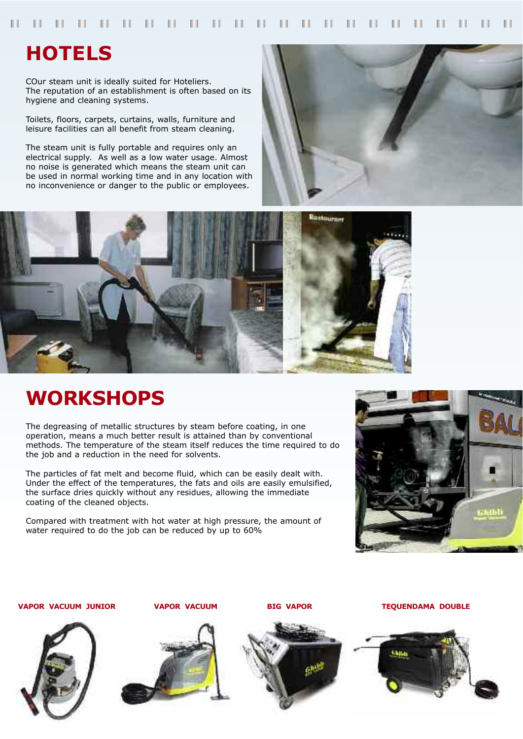## **HOTELS**

COur steam unit is ideally suited for Hoteliers. The reputation of an establishment is often based on its hygiene and cleaning systems.

Toilets, floors, carpets, curtains, walls, furniture and leisure facilities can all benefit from steam cleaning.

The steam unit is fully portable and requires only an electrical supply. As well as a low water usage. Almost no noise is generated which means the steam unit can be used in normal working time and in any location with no inconvenience or danger to the public or employees.





# **WORKSHOPS**

The degreasing of metallic structures by steam before coating, in one operation, means a much better result is attained than by conventional methods. The temperature of the steam itself reduces the time required to do the job and a reduction in the need for solvents.

The particles of fat melt and become fluid, which can be easily dealt with. Under the effect of the temperatures, the fats and oils are easily emulsified, the surface dries quickly without any residues, allowing the immediate coating of the cleaned objects.

Compared with treatment with hot water at high pressure, the amount of water required to do the job can be reduced by up to 60%



**VAPOR VACUUM JUNIOR** 





**VAPOR VACUUM** 



**BIG VAPOR** 

**TEQUENDAMA DOUBLE**